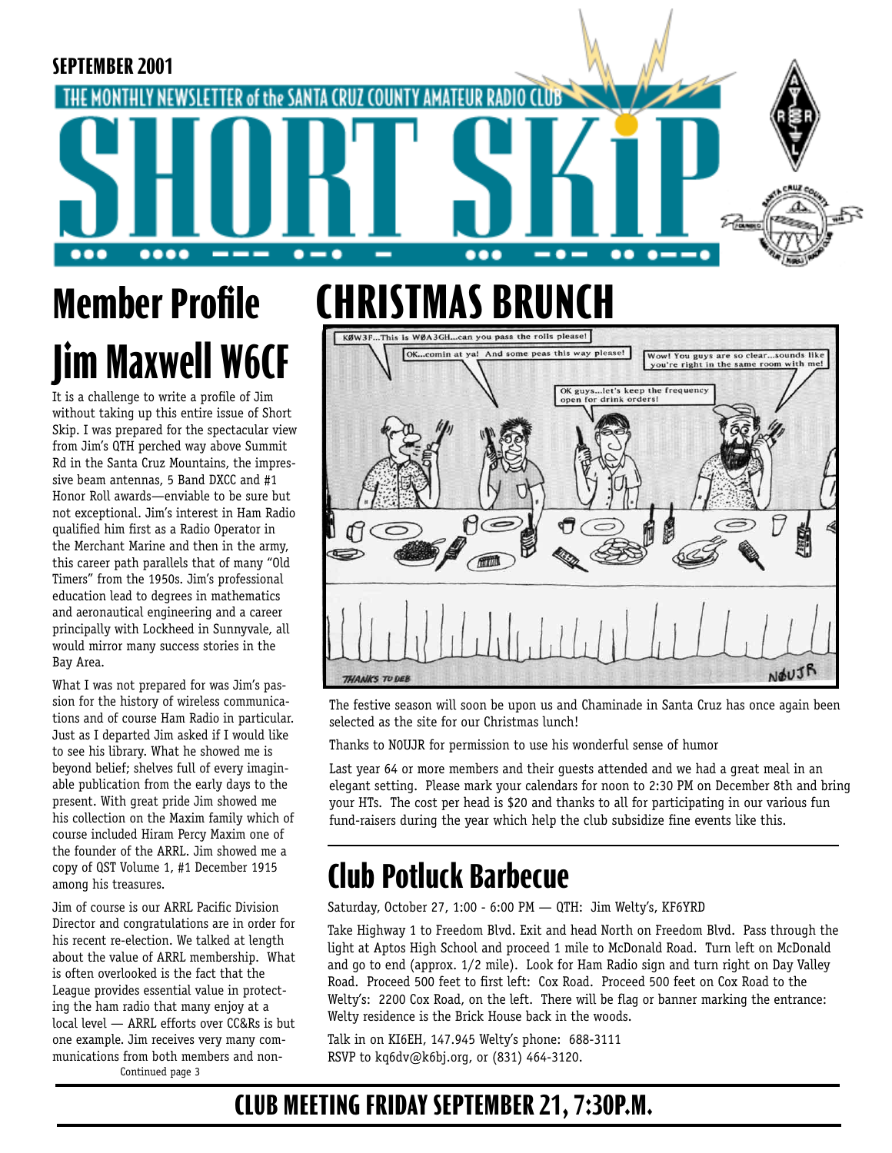#### **SEPTEMBER 2001** NEWSLETTER of the SANTA CRUZ COUNTY AMATEU **MONTHLY** .... --- $\bullet$   $\bullet$  $\bullet\bullet\bullet$  $\bullet \bullet\bullet$  $\bullet$   $\bullet$ **CHRISTMAS BRUNCH Member Profile**

It is a challenge to write a profile of Jim without taking up this entire issue of Short Skip. I was prepared for the spectacular view from Jim's QTH perched way above Summit Rd in the Santa Cruz Mountains, the impressive beam antennas, 5 Band DXCC and #1 Honor Roll awards—enviable to be sure but not exceptional. Jim's interest in Ham Radio qualified him first as a Radio Operator in the Merchant Marine and then in the army, this career path parallels that of many "Old Timers" from the 1950s. Jim's professional education lead to degrees in mathematics and aeronautical engineering and a career principally with Lockheed in Sunnyvale, all would mirror many success stories in the Bay Area.

**Jim Maxwell W6CF**

What I was not prepared for was Jim's passion for the history of wireless communications and of course Ham Radio in particular. Just as I departed Jim asked if I would like to see his library. What he showed me is beyond belief; shelves full of every imaginable publication from the early days to the present. With great pride Jim showed me his collection on the Maxim family which of course included Hiram Percy Maxim one of the founder of the ARRL. Jim showed me a copy of QST Volume 1, #1 December 1915 among his treasures.

Jim of course is our ARRL Pacific Division Director and congratulations are in order for his recent re-election. We talked at length about the value of ARRL membership. What is often overlooked is the fact that the League provides essential value in protecting the ham radio that many enjoy at a local level — ARRL efforts over CC&Rs is but one example. Jim receives very many communications from both members and non-Continued page 3

And some peas this way please! comin at Wow! You guys are so clear...sounds like<br>you're right in the same room with me! OK guys...let's keep the frequency<br>open for drink orders! NOUJR **THANKS TO DEE** 

The festive season will soon be upon us and Chaminade in Santa Cruz has once again been selected as the site for our Christmas lunch!

Thanks to N0UJR for permission to use his wonderful sense of humor

Last year 64 or more members and their guests attended and we had a great meal in an elegant setting. Please mark your calendars for noon to 2:30 PM on December 8th and bring your HTs. The cost per head is \$20 and thanks to all for participating in our various fun fund-raisers during the year which help the club subsidize fine events like this.

# **Club Potluck Barbecue**

Saturday, October 27, 1:00 - 6:00 PM — QTH: Jim Welty's, KF6YRD

Take Highway 1 to Freedom Blvd. Exit and head North on Freedom Blvd. Pass through the light at Aptos High School and proceed 1 mile to McDonald Road. Turn left on McDonald and go to end (approx. 1/2 mile). Look for Ham Radio sign and turn right on Day Valley Road. Proceed 500 feet to first left: Cox Road. Proceed 500 feet on Cox Road to the Welty's: 2200 Cox Road, on the left. There will be flag or banner marking the entrance: Welty residence is the Brick House back in the woods.

Talk in on KI6EH, 147.945 Welty's phone: 688-3111 RSVP to kq6dv@k6bj.org, or (831) 464-3120.

## **CLUB MEETING FRIDAY SEPTEMBER 21, 7:30P.M.**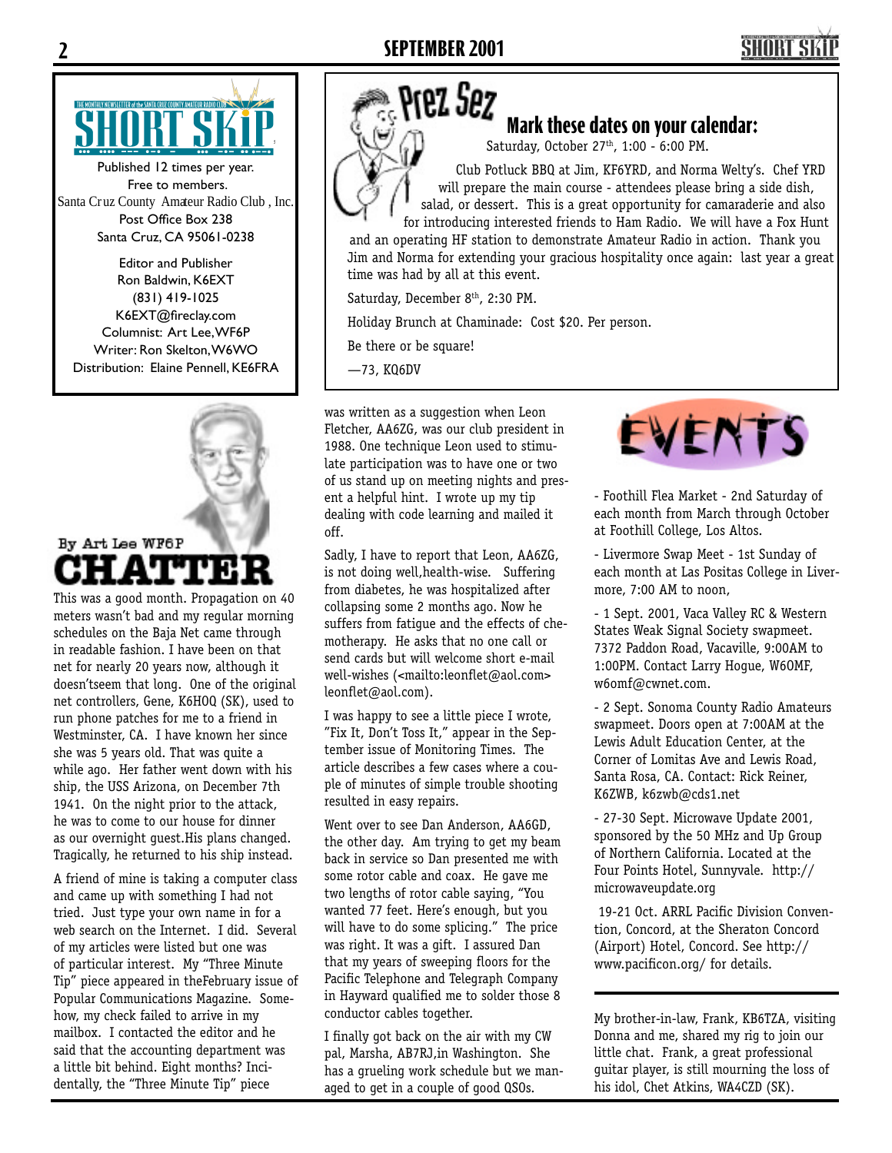# **SHORT SI**



Published 12 times per year. Free to members. Santa Cruz County Amateur Radio Club , Inc. Post Office Box 238 Santa Cruz, CA 95061-0238

Editor and Publisher Ron Baldwin, K6EXT (831) 419-1025 K6EXT@fireclay.com Columnist: Art Lee, WF6P Writer: Ron Skelton, W6WO Distribution: Elaine Pennell, KE6FRA



This was a good month. Propagation on 40 meters wasn't bad and my regular morning schedules on the Baja Net came through in readable fashion. I have been on that net for nearly 20 years now, although it doesn'tseem that long. One of the original net controllers, Gene, K6HOQ (SK), used to run phone patches for me to a friend in Westminster, CA. I have known her since she was 5 years old. That was quite a while ago. Her father went down with his ship, the USS Arizona, on December 7th 1941. On the night prior to the attack, he was to come to our house for dinner as our overnight guest.His plans changed. Tragically, he returned to his ship instead.

A friend of mine is taking a computer class and came up with something I had not tried. Just type your own name in for a web search on the Internet. I did. Several of my articles were listed but one was of particular interest. My "Three Minute Tip" piece appeared in theFebruary issue of Popular Communications Magazine. Somehow, my check failed to arrive in my mailbox. I contacted the editor and he said that the accounting department was a little bit behind. Eight months? Incidentally, the "Three Minute Tip" piece

### Prez Sez **Mark these dates on your calendar:**

Saturday, October 27<sup>th</sup>, 1:00 - 6:00 PM.

Club Potluck BBQ at Jim, KF6YRD, and Norma Welty's. Chef YRD will prepare the main course - attendees please bring a side dish, salad, or dessert. This is a great opportunity for camaraderie and also for introducing interested friends to Ham Radio. We will have a Fox Hunt

and an operating HF station to demonstrate Amateur Radio in action. Thank you Jim and Norma for extending your gracious hospitality once again: last year a great time was had by all at this event.

Saturday, December 8<sup>th</sup>, 2:30 PM.

Holiday Brunch at Chaminade: Cost \$20. Per person.

Be there or be square!

—73, KQ6DV

was written as a suggestion when Leon Fletcher, AA6ZG, was our club president in 1988. One technique Leon used to stimulate participation was to have one or two of us stand up on meeting nights and present a helpful hint. I wrote up my tip dealing with code learning and mailed it off.

Sadly, I have to report that Leon, AA6ZG, is not doing well,health-wise. Suffering from diabetes, he was hospitalized after collapsing some 2 months ago. Now he suffers from fatigue and the effects of chemotherapy. He asks that no one call or send cards but will welcome short e-mail well-wishes (<mailto:leonflet@aol.com> leonflet@aol.com).

I was happy to see a little piece I wrote, "Fix It, Don't Toss It," appear in the September issue of Monitoring Times. The article describes a few cases where a couple of minutes of simple trouble shooting resulted in easy repairs.

Went over to see Dan Anderson, AA6GD, the other day. Am trying to get my beam back in service so Dan presented me with some rotor cable and coax. He gave me two lengths of rotor cable saying, "You wanted 77 feet. Here's enough, but you will have to do some splicing." The price was right. It was a gift. I assured Dan that my years of sweeping floors for the Pacific Telephone and Telegraph Company in Hayward qualified me to solder those 8 conductor cables together.

I finally got back on the air with my CW pal, Marsha, AB7RJ,in Washington. She has a grueling work schedule but we managed to get in a couple of good QSOs.



- Foothill Flea Market - 2nd Saturday of each month from March through October at Foothill College, Los Altos.

- Livermore Swap Meet - 1st Sunday of each month at Las Positas College in Livermore, 7:00 AM to noon,

- 1 Sept. 2001, Vaca Valley RC & Western States Weak Signal Society swapmeet. 7372 Paddon Road, Vacaville, 9:00AM to 1:00PM. Contact Larry Hogue, W6OMF, w6omf@cwnet.com.

- 2 Sept. Sonoma County Radio Amateurs swapmeet. Doors open at 7:00AM at the Lewis Adult Education Center, at the Corner of Lomitas Ave and Lewis Road, Santa Rosa, CA. Contact: Rick Reiner, K6ZWB, k6zwb@cds1.net

- 27-30 Sept. Microwave Update 2001, sponsored by the 50 MHz and Up Group of Northern California. Located at the Four Points Hotel, Sunnyvale. http:// microwaveupdate.org

 19-21 Oct. ARRL Pacific Division Convention, Concord, at the Sheraton Concord (Airport) Hotel, Concord. See http:// www.pacificon.org/ for details.

My brother-in-law, Frank, KB6TZA, visiting Donna and me, shared my rig to join our little chat. Frank, a great professional guitar player, is still mourning the loss of his idol, Chet Atkins, WA4CZD (SK).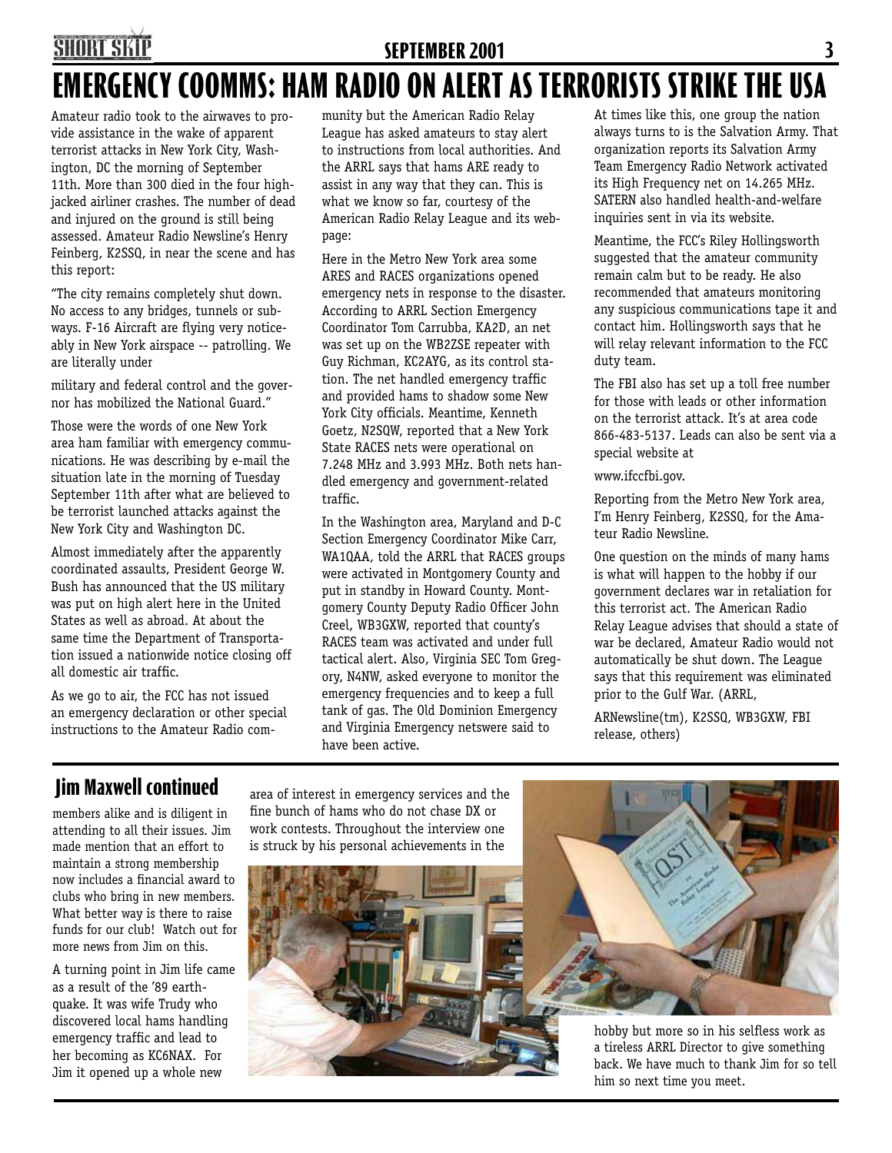### **SHORT SKII SEPTEMBER 2001 3 EMERGENCY COOMMS: HAM RADIO ON ALERT AS TERRORISTS STRIKE THE USA**

Amateur radio took to the airwaves to provide assistance in the wake of apparent terrorist attacks in New York City, Washington, DC the morning of September 11th. More than 300 died in the four highjacked airliner crashes. The number of dead and injured on the ground is still being assessed. Amateur Radio Newsline's Henry Feinberg, K2SSQ, in near the scene and has this report:

"The city remains completely shut down. No access to any bridges, tunnels or subways. F-16 Aircraft are flying very noticeably in New York airspace -- patrolling. We are literally under

military and federal control and the governor has mobilized the National Guard."

Those were the words of one New York area ham familiar with emergency communications. He was describing by e-mail the situation late in the morning of Tuesday September 11th after what are believed to be terrorist launched attacks against the New York City and Washington DC.

Almost immediately after the apparently coordinated assaults, President George W. Bush has announced that the US military was put on high alert here in the United States as well as abroad. At about the same time the Department of Transportation issued a nationwide notice closing off all domestic air traffic.

As we go to air, the FCC has not issued an emergency declaration or other special instructions to the Amateur Radio community but the American Radio Relay League has asked amateurs to stay alert to instructions from local authorities. And the ARRL says that hams ARE ready to assist in any way that they can. This is what we know so far, courtesy of the American Radio Relay League and its webpage:

Here in the Metro New York area some ARES and RACES organizations opened emergency nets in response to the disaster. According to ARRL Section Emergency Coordinator Tom Carrubba, KA2D, an net was set up on the WB2ZSE repeater with Guy Richman, KC2AYG, as its control station. The net handled emergency traffic and provided hams to shadow some New York City officials. Meantime, Kenneth Goetz, N2SQW, reported that a New York State RACES nets were operational on 7.248 MHz and 3.993 MHz. Both nets handled emergency and government-related traffic.

In the Washington area, Maryland and D-C Section Emergency Coordinator Mike Carr, WA1QAA, told the ARRL that RACES groups were activated in Montgomery County and put in standby in Howard County. Montgomery County Deputy Radio Officer John Creel, WB3GXW, reported that county's RACES team was activated and under full tactical alert. Also, Virginia SEC Tom Gregory, N4NW, asked everyone to monitor the emergency frequencies and to keep a full tank of gas. The Old Dominion Emergency and Virginia Emergency netswere said to have been active.

At times like this, one group the nation always turns to is the Salvation Army. That organization reports its Salvation Army Team Emergency Radio Network activated its High Frequency net on 14.265 MHz. SATERN also handled health-and-welfare inquiries sent in via its website.

Meantime, the FCC's Riley Hollingsworth suggested that the amateur community remain calm but to be ready. He also recommended that amateurs monitoring any suspicious communications tape it and contact him. Hollingsworth says that he will relay relevant information to the FCC duty team.

The FBI also has set up a toll free number for those with leads or other information on the terrorist attack. It's at area code 866-483-5137. Leads can also be sent via a special website at

#### www.ifccfbi.gov.

Reporting from the Metro New York area, I'm Henry Feinberg, K2SSQ, for the Amateur Radio Newsline.

One question on the minds of many hams is what will happen to the hobby if our government declares war in retaliation for this terrorist act. The American Radio Relay League advises that should a state of war be declared, Amateur Radio would not automatically be shut down. The League says that this requirement was eliminated prior to the Gulf War. (ARRL,

ARNewsline(tm), K2SSQ, WB3GXW, FBI release, others)

#### **Jim Maxwell continued** area of interest in emergency services and the

members alike and is diligent in attending to all their issues. Jim made mention that an effort to maintain a strong membership now includes a financial award to clubs who bring in new members. What better way is there to raise funds for our club! Watch out for more news from Jim on this.

A turning point in Jim life came as a result of the '89 earthquake. It was wife Trudy who discovered local hams handling emergency traffic and lead to her becoming as KC6NAX. For Jim it opened up a whole new

fine bunch of hams who do not chase DX or work contests. Throughout the interview one is struck by his personal achievements in the





hobby but more so in his selfless work as a tireless ARRL Director to give something back. We have much to thank Jim for so tell him so next time you meet.